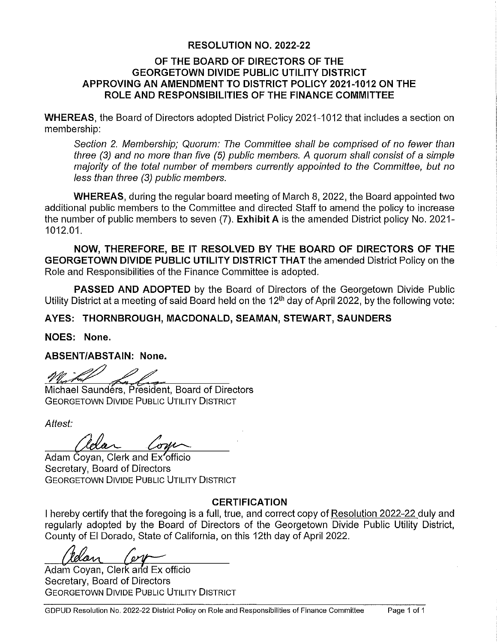## **RESOLUTION NO. 2022-22**

#### OF THE BOARD OF DIRECTORS OF THE **GEORGETOWN DIVIDE PUBLIC UTILITY DISTRICT** APPROVING AN AMENDMENT TO DISTRICT POLICY 2021-1012 ON THE ROLE AND RESPONSIBILITIES OF THE FINANCE COMMITTEE

WHEREAS, the Board of Directors adopted District Policy 2021-1012 that includes a section on membership:

Section 2. Membership; Quorum: The Committee shall be comprised of no fewer than three (3) and no more than five (5) public members. A quorum shall consist of a simple majority of the total number of members currently appointed to the Committee, but no less than three (3) public members.

**WHEREAS**, during the regular board meeting of March 8, 2022, the Board appointed two additional public members to the Committee and directed Staff to amend the policy to increase the number of public members to seven (7). Exhibit A is the amended District policy No. 2021-1012.01.

NOW, THEREFORE, BE IT RESOLVED BY THE BOARD OF DIRECTORS OF THE GEORGETOWN DIVIDE PUBLIC UTILITY DISTRICT THAT the amended District Policy on the Role and Responsibilities of the Finance Committee is adopted.

**PASSED AND ADOPTED** by the Board of Directors of the Georgetown Divide Public Utility District at a meeting of said Board held on the 12<sup>th</sup> day of April 2022, by the following vote:

## AYES: THORNBROUGH, MACDONALD, SEAMAN, STEWART, SAUNDERS

NOES: None.

### **ABSENT/ABSTAIN: None.**

Michael Saundérs. President. Board of Directors **GEORGETOWN DIVIDE PUBLIC UTILITY DISTRICT** 

Attest:

Adam Čoyan, Clerk and Ex'officio Secretary, Board of Directors **GEORGETOWN DIVIDE PUBLIC UTILITY DISTRICT** 

### **CERTIFICATION**

I hereby certify that the foregoing is a full, true, and correct copy of Resolution 2022-22 duly and regularly adopted by the Board of Directors of the Georgetown Divide Public Utility District, County of El Dorado, State of California, on this 12th day of April 2022.

dan ' er V

Adam Coyan, Clerk and Ex officio Secretary, Board of Directors **GEORGETOWN DIVIDE PUBLIC UTILITY DISTRICT**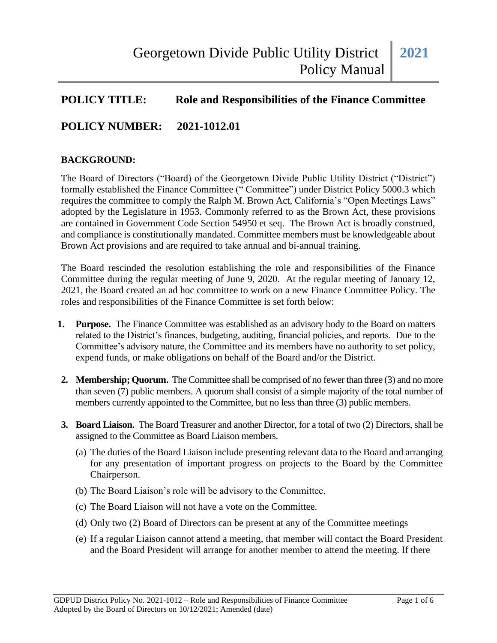## **POLICY TITLE: Role and Responsibilities of the Finance Committee**

# **POLICY NUMBER: 2021-1012.01**

#### **BACKGROUND:**

The Board of Directors ("Board) of the Georgetown Divide Public Utility District ("District") formally established the Finance Committee (" Committee") under District Policy 5000.3 which requires the committee to comply the Ralph M. Brown Act, California's "Open Meetings Laws" adopted by the Legislature in 1953. Commonly referred to as the Brown Act, these provisions are contained in Government Code Section 54950 et seq. The Brown Act is broadly construed, and compliance is constitutionally mandated. Committee members must be knowledgeable about Brown Act provisions and are required to take annual and bi-annual training.

The Board rescinded the resolution establishing the role and responsibilities of the Finance Committee during the regular meeting of June 9, 2020. At the regular meeting of January 12, 2021, the Board created an ad hoc committee to work on a new Finance Committee Policy. The roles and responsibilities of the Finance Committee is set forth below:

- **1. Purpose.** The Finance Committee was established as an advisory body to the Board on matters related to the District's finances, budgeting, auditing, financial policies, and reports. Due to the Committee's advisory nature, the Committee and its members have no authority to set policy, expend funds, or make obligations on behalf of the Board and/or the District.
- **2. Membership; Quorum.** The Committee shall be comprised of no fewer than three (3) and no more than seven (7) public members. A quorum shall consist of a simple majority of the total number of members currently appointed to the Committee, but no less than three (3) public members.
- **3. Board Liaison.** The Board Treasurer and another Director, for a total of two (2) Directors, shall be assigned to the Committee as Board Liaison members.
	- (a) The duties of the Board Liaison include presenting relevant data to the Board and arranging for any presentation of important progress on projects to the Board by the Committee Chairperson.
	- (b) The Board Liaison's role will be advisory to the Committee.
	- (c) The Board Liaison will not have a vote on the Committee.
	- (d) Only two (2) Board of Directors can be present at any of the Committee meetings
	- (e) If a regular Liaison cannot attend a meeting, that member will contact the Board President and the Board President will arrange for another member to attend the meeting. If there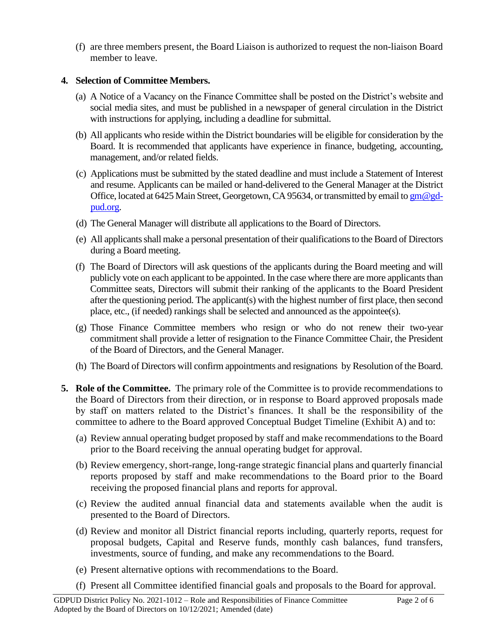(f) are three members present, the Board Liaison is authorized to request the non-liaison Board member to leave.

## **4. Selection of Committee Members.**

- (a) A Notice of a Vacancy on the Finance Committee shall be posted on the District's website and social media sites, and must be published in a newspaper of general circulation in the District with instructions for applying, including a deadline for submittal.
- (b) All applicants who reside within the District boundaries will be eligible for consideration by the Board. It is recommended that applicants have experience in finance, budgeting, accounting, management, and/or related fields.
- (c) Applications must be submitted by the stated deadline and must include a Statement of Interest and resume. Applicants can be mailed or hand-delivered to the General Manager at the District Office, located at 6425 Main Street, Georgetown, CA 95634, or transmitted by email to  $\text{gm@gd-}$ [pud.org.](mailto:gm@gd-pud.org)
- (d) The General Manager will distribute all applications to the Board of Directors.
- (e) All applicants shall make a personal presentation of their qualifications to the Board of Directors during a Board meeting.
- (f) The Board of Directors will ask questions of the applicants during the Board meeting and will publicly vote on each applicant to be appointed. In the case where there are more applicants than Committee seats, Directors will submit their ranking of the applicants to the Board President after the questioning period. The applicant(s) with the highest number of first place, then second place, etc., (if needed) rankings shall be selected and announced as the appointee(s).
- (g) Those Finance Committee members who resign or who do not renew their two-year commitment shall provide a letter of resignation to the Finance Committee Chair, the President of the Board of Directors, and the General Manager.
- (h) The Board of Directors will confirm appointments and resignations by Resolution of the Board.
- **5. Role of the Committee.** The primary role of the Committee is to provide recommendations to the Board of Directors from their direction, or in response to Board approved proposals made by staff on matters related to the District's finances. It shall be the responsibility of the committee to adhere to the Board approved Conceptual Budget Timeline (Exhibit A) and to:
	- (a) Review annual operating budget proposed by staff and make recommendations to the Board prior to the Board receiving the annual operating budget for approval.
	- (b) Review emergency, short-range, long-range strategic financial plans and quarterly financial reports proposed by staff and make recommendations to the Board prior to the Board receiving the proposed financial plans and reports for approval.
	- (c) Review the audited annual financial data and statements available when the audit is presented to the Board of Directors.
	- (d) Review and monitor all District financial reports including, quarterly reports, request for proposal budgets, Capital and Reserve funds, monthly cash balances, fund transfers, investments, source of funding, and make any recommendations to the Board.
	- (e) Present alternative options with recommendations to the Board.
	- (f) Present all Committee identified financial goals and proposals to the Board for approval.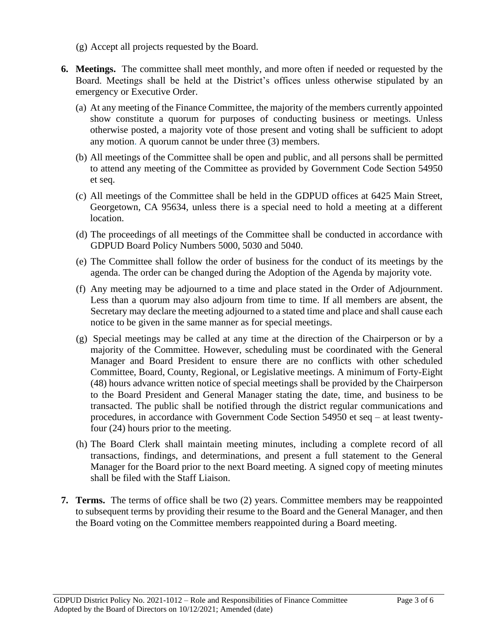- (g) Accept all projects requested by the Board.
- **6. Meetings.** The committee shall meet monthly, and more often if needed or requested by the Board. Meetings shall be held at the District's offices unless otherwise stipulated by an emergency or Executive Order.
	- (a) At any meeting of the Finance Committee, the majority of the members currently appointed show constitute a quorum for purposes of conducting business or meetings. Unless otherwise posted, a majority vote of those present and voting shall be sufficient to adopt any motion. A quorum cannot be under three (3) members.
	- (b) All meetings of the Committee shall be open and public, and all persons shall be permitted to attend any meeting of the Committee as provided by Government Code Section 54950 et seq.
	- (c) All meetings of the Committee shall be held in the GDPUD offices at 6425 Main Street, Georgetown, CA 95634, unless there is a special need to hold a meeting at a different location.
	- (d) The proceedings of all meetings of the Committee shall be conducted in accordance with GDPUD Board Policy Numbers 5000, 5030 and 5040.
	- (e) The Committee shall follow the order of business for the conduct of its meetings by the agenda. The order can be changed during the Adoption of the Agenda by majority vote.
	- (f) Any meeting may be adjourned to a time and place stated in the Order of Adjournment. Less than a quorum may also adjourn from time to time. If all members are absent, the Secretary may declare the meeting adjourned to a stated time and place and shall cause each notice to be given in the same manner as for special meetings.
	- (g) Special meetings may be called at any time at the direction of the Chairperson or by a majority of the Committee. However, scheduling must be coordinated with the General Manager and Board President to ensure there are no conflicts with other scheduled Committee, Board, County, Regional, or Legislative meetings. A minimum of Forty-Eight (48) hours advance written notice of special meetings shall be provided by the Chairperson to the Board President and General Manager stating the date, time, and business to be transacted. The public shall be notified through the district regular communications and procedures, in accordance with Government Code Section 54950 et seq – at least twentyfour (24) hours prior to the meeting.
	- (h) The Board Clerk shall maintain meeting minutes, including a complete record of all transactions, findings, and determinations, and present a full statement to the General Manager for the Board prior to the next Board meeting. A signed copy of meeting minutes shall be filed with the Staff Liaison.
- **7. Terms.** The terms of office shall be two (2) years. Committee members may be reappointed to subsequent terms by providing their resume to the Board and the General Manager, and then the Board voting on the Committee members reappointed during a Board meeting.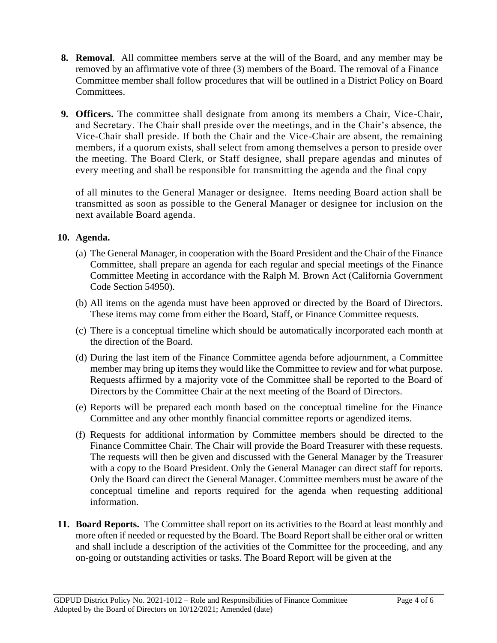- **8. Removal**. All committee members serve at the will of the Board, and any member may be removed by an affirmative vote of three (3) members of the Board. The removal of a Finance Committee member shall follow procedures that will be outlined in a District Policy on Board Committees.
- **9. Officers.** The committee shall designate from among its members a Chair, Vice-Chair, and Secretary. The Chair shall preside over the meetings, and in the Chair's absence, the Vice-Chair shall preside. If both the Chair and the Vice-Chair are absent, the remaining members, if a quorum exists, shall select from among themselves a person to preside over the meeting. The Board Clerk, or Staff designee, shall prepare agendas and minutes of every meeting and shall be responsible for transmitting the agenda and the final copy

of all minutes to the General Manager or designee. Items needing Board action shall be transmitted as soon as possible to the General Manager or designee for inclusion on the next available Board agenda.

## **10. Agenda.**

- (a) The General Manager, in cooperation with the Board President and the Chair of the Finance Committee, shall prepare an agenda for each regular and special meetings of the Finance Committee Meeting in accordance with the Ralph M. Brown Act (California Government Code Section 54950).
- (b) All items on the agenda must have been approved or directed by the Board of Directors. These items may come from either the Board, Staff, or Finance Committee requests.
- (c) There is a conceptual timeline which should be automatically incorporated each month at the direction of the Board.
- (d) During the last item of the Finance Committee agenda before adjournment, a Committee member may bring up items they would like the Committee to review and for what purpose. Requests affirmed by a majority vote of the Committee shall be reported to the Board of Directors by the Committee Chair at the next meeting of the Board of Directors.
- (e) Reports will be prepared each month based on the conceptual timeline for the Finance Committee and any other monthly financial committee reports or agendized items.
- (f) Requests for additional information by Committee members should be directed to the Finance Committee Chair. The Chair will provide the Board Treasurer with these requests. The requests will then be given and discussed with the General Manager by the Treasurer with a copy to the Board President. Only the General Manager can direct staff for reports. Only the Board can direct the General Manager. Committee members must be aware of the conceptual timeline and reports required for the agenda when requesting additional information.
- **11. Board Reports.** The Committee shall report on its activities to the Board at least monthly and more often if needed or requested by the Board. The Board Report shall be either oral or written and shall include a description of the activities of the Committee for the proceeding, and any on-going or outstanding activities or tasks. The Board Report will be given at the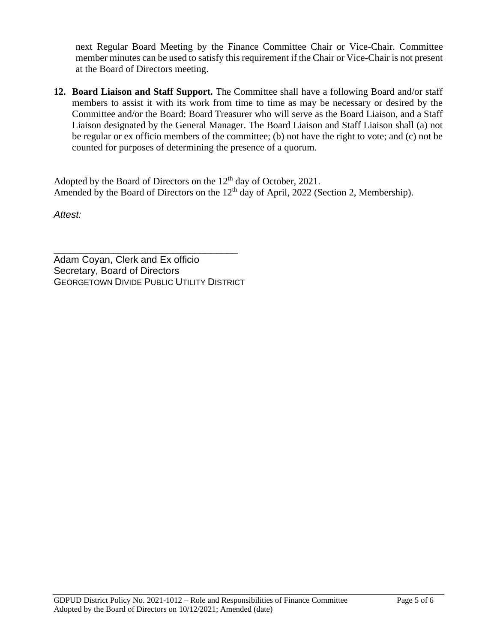next Regular Board Meeting by the Finance Committee Chair or Vice-Chair. Committee member minutes can be used to satisfy this requirement if the Chair or Vice-Chair is not present at the Board of Directors meeting.

**12. Board Liaison and Staff Support.** The Committee shall have a following Board and/or staff members to assist it with its work from time to time as may be necessary or desired by the Committee and/or the Board: Board Treasurer who will serve as the Board Liaison, and a Staff Liaison designated by the General Manager. The Board Liaison and Staff Liaison shall (a) not be regular or ex officio members of the committee; (b) not have the right to vote; and (c) not be counted for purposes of determining the presence of a quorum.

Adopted by the Board of Directors on the 12<sup>th</sup> day of October, 2021. Amended by the Board of Directors on the 12<sup>th</sup> day of April, 2022 (Section 2, Membership).

*Attest:*

\_\_\_\_\_\_\_\_\_\_\_\_\_\_\_\_\_\_\_\_\_\_\_\_\_\_\_\_\_\_\_\_\_\_ Adam Coyan, Clerk and Ex officio Secretary, Board of Directors **GEORGETOWN DIVIDE PUBLIC UTILITY DISTRICT**